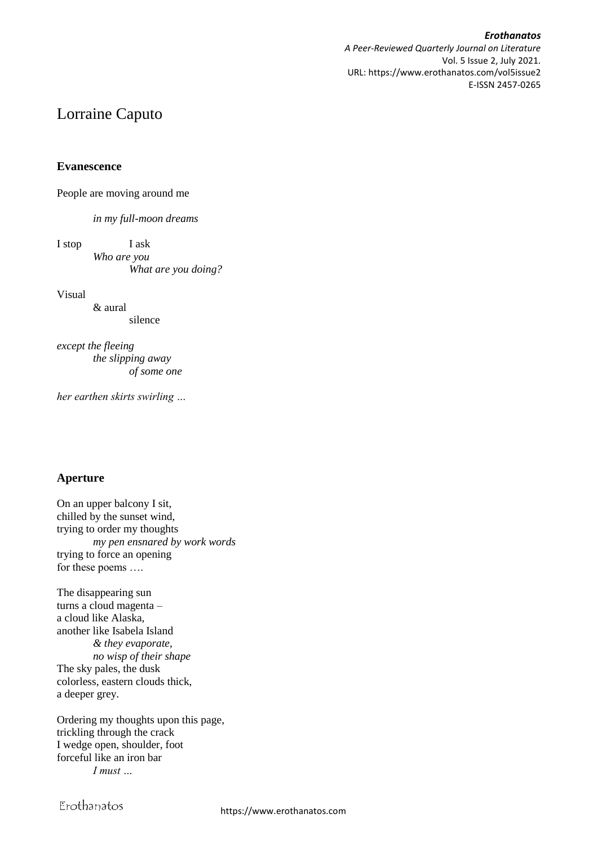*Erothanatos A Peer-Reviewed Quarterly Journal on Literature* Vol. 5 Issue 2, July 2021. URL: https://www.erothanatos.com/vol5issue2 E-ISSN 2457-0265

# Lorraine Caputo

**Evanescence**

People are moving around me

*in my full-moon dreams*

I stop I ask *Who are you What are you doing?*

Visual

& aural silence

*except the fleeing the slipping away of some one*

*her earthen skirts swirling …*

## **Aperture**

On an upper balcony I sit, chilled by the sunset wind, trying to order my thoughts *my pen ensnared by work words* trying to force an opening for these poems ….

The disappearing sun turns a cloud magenta – a cloud like Alaska, another like Isabela Island *& they evaporate, no wisp of their shape* The sky pales, the dusk colorless, eastern clouds thick, a deeper grey.

Ordering my thoughts upon this page, trickling through the crack I wedge open, shoulder, foot forceful like an iron bar *I must …*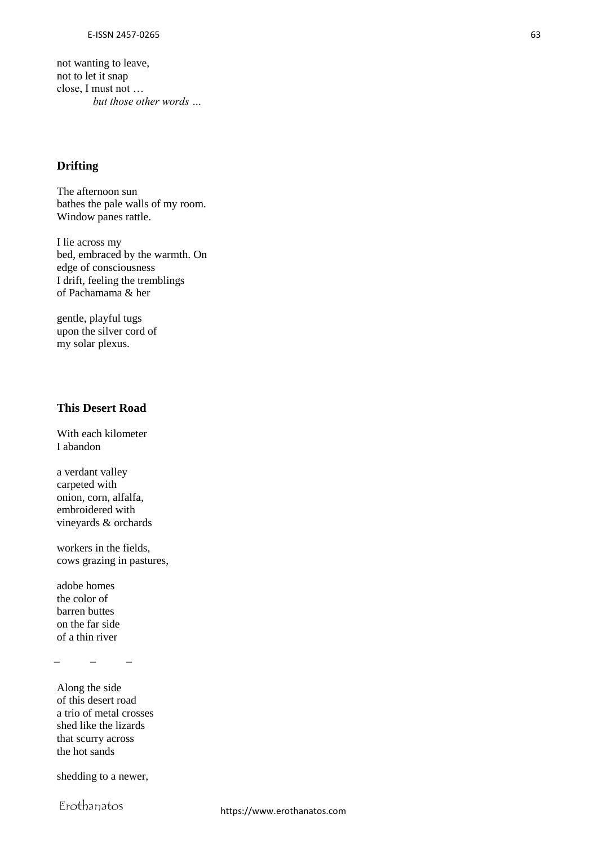not wanting to leave, not to let it snap close, I must not … *but those other words …*

## **Drifting**

The afternoon sun bathes the pale walls of my room. Window panes rattle.

I lie across my bed, embraced by the warmth. On edge of consciousness I drift, feeling the tremblings of Pachamama & her

gentle, playful tugs upon the silver cord of my solar plexus.

## **This Desert Road**

With each kilometer I abandon

a verdant valley carpeted with onion, corn, alfalfa, embroidered with vineyards & orchards

workers in the fields, cows grazing in pastures,

adobe homes the color of barren buttes on the far side of a thin river

**̶ ̶ ̶**

Along the side of this desert road a trio of metal crosses shed like the lizards that scurry across the hot sands

shedding to a newer,

Erothanatos